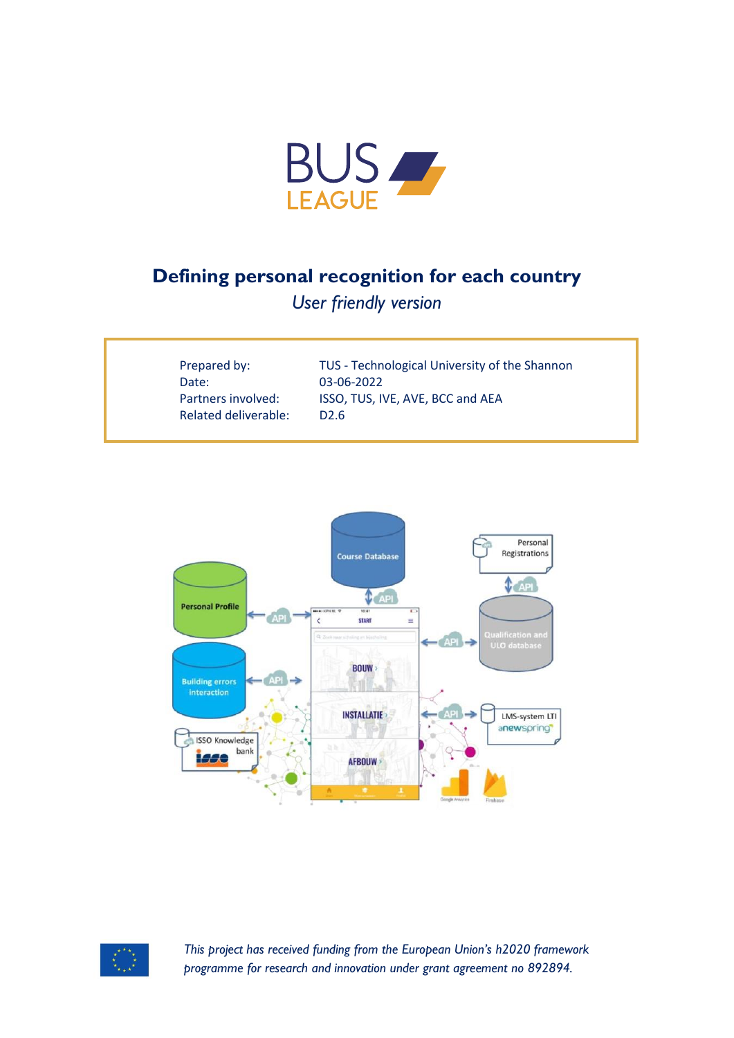

# **Defining personal recognition for each country**

*User friendly version*

| Prepared by:         | TUS - Technological University of the Shannon |
|----------------------|-----------------------------------------------|
| Date:                | 03-06-2022                                    |
| Partners involved:   | ISSO, TUS, IVE, AVE, BCC and AEA              |
| Related deliverable: | D <sub>2.6</sub>                              |
|                      |                                               |





*This project has received funding from the European Union's h2020 framework programme for research and innovation under grant agreement no 892894.*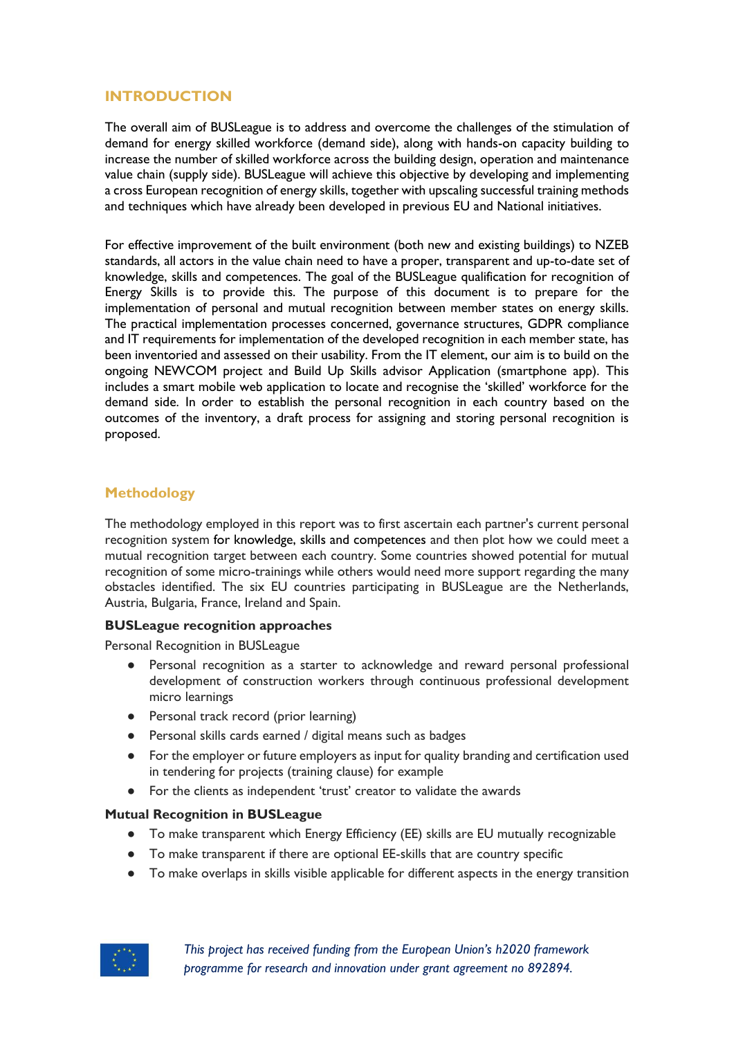## **INTRODUCTION**

The overall aim of BUSLeague is to address and overcome the challenges of the stimulation of demand for energy skilled workforce (demand side), along with hands-on capacity building to increase the number of skilled workforce across the building design, operation and maintenance value chain (supply side). BUSLeague will achieve this objective by developing and implementing a cross European recognition of energy skills, together with upscaling successful training methods and techniques which have already been developed in previous EU and National initiatives.

For effective improvement of the built environment (both new and existing buildings) to NZEB standards, all actors in the value chain need to have a proper, transparent and up-to-date set of knowledge, skills and competences. The goal of the BUSLeague qualification for recognition of Energy Skills is to provide this. The purpose of this document is to prepare for the implementation of personal and mutual recognition between member states on energy skills. The practical implementation processes concerned, governance structures, GDPR compliance and IT requirements for implementation of the developed recognition in each member state, has been inventoried and assessed on their usability. From the IT element, our aim is to build on the ongoing NEWCOM project and Build Up Skills advisor Application (smartphone app). This includes a smart mobile web application to locate and recognise the 'skilled' workforce for the demand side. In order to establish the personal recognition in each country based on the outcomes of the inventory, a draft process for assigning and storing personal recognition is proposed.

# **Methodology**

The methodology employed in this report was to first ascertain each partner's current personal recognition system for knowledge, skills and competences and then plot how we could meet a mutual recognition target between each country. Some countries showed potential for mutual recognition of some micro-trainings while others would need more support regarding the many obstacles identified. The six EU countries participating in BUSLeague are the Netherlands, Austria, Bulgaria, France, Ireland and Spain.

#### **BUSLeague recognition approaches**

Personal Recognition in BUSLeague

- Personal recognition as a starter to acknowledge and reward personal professional development of construction workers through continuous professional development micro learnings
- Personal track record (prior learning)
- Personal skills cards earned / digital means such as badges
- For the employer or future employers as input for quality branding and certification used in tendering for projects (training clause) for example
- For the clients as independent 'trust' creator to validate the awards

#### **Mutual Recognition in BUSLeague**

- To make transparent which Energy Efficiency (EE) skills are EU mutually recognizable
- To make transparent if there are optional EE-skills that are country specific
- To make overlaps in skills visible applicable for different aspects in the energy transition



*This project has received funding from the European Union's h2020 framework programme for research and innovation under grant agreement no 892894.*